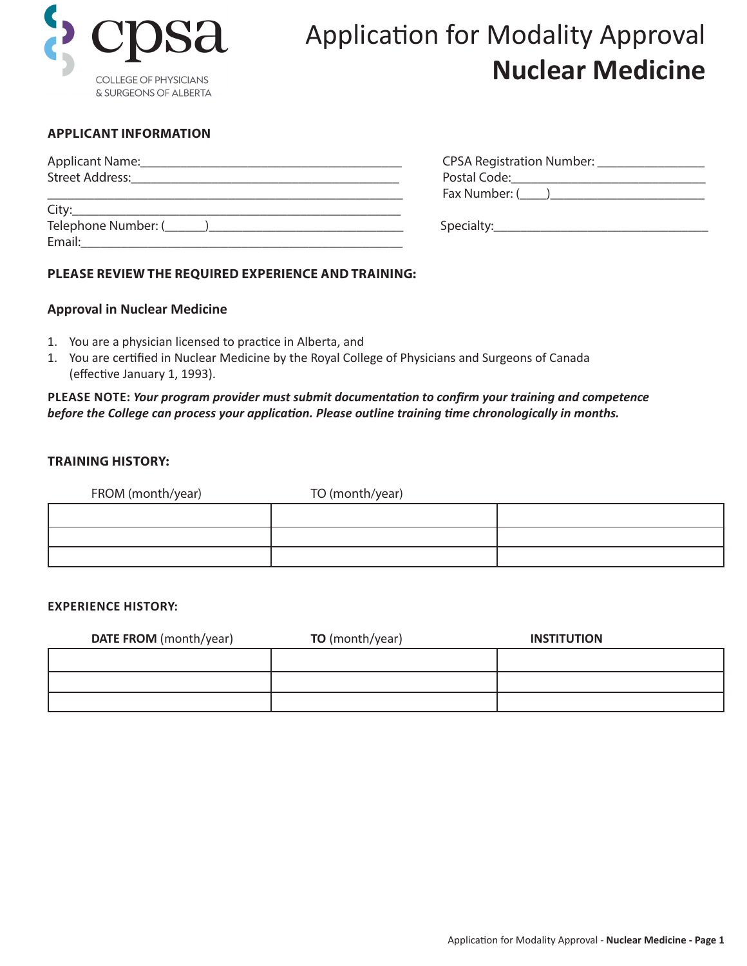

# Application for Modality Approval **Nuclear Medicine**

## **APPLICANT INFORMATION**

| Applicant Name:                                                                                                                                                                                                               | CPSA Registration Number: |
|-------------------------------------------------------------------------------------------------------------------------------------------------------------------------------------------------------------------------------|---------------------------|
| <b>Street Address:</b>                                                                                                                                                                                                        |                           |
|                                                                                                                                                                                                                               |                           |
| City: City: City: City: City: City: City: City: City: City: City: City: City: City: City: City: City: City: City: City: City: City: City: City: City: City: City: City: City: City: City: City: City: City: City: City: City: |                           |
| Telephone Number: ( )                                                                                                                                                                                                         |                           |
| Email:                                                                                                                                                                                                                        |                           |

## **PLEASE REVIEW THE REQUIRED EXPERIENCE AND TRAINING:**

#### **Approval in Nuclear Medicine**

- 1. You are a physician licensed to practice in Alberta, and
- 1. You are certified in Nuclear Medicine by the Royal College of Physicians and Surgeons of Canada (effective January 1, 1993).

## **PLEASE NOTE:** *Your program provider must submit documentation to confirm your training and competence before the College can process your application. Please outline training time chronologically in months.*

#### **TRAINING HISTORY:**

| FROM (month/year) | TO (month/year) |  |
|-------------------|-----------------|--|
|                   |                 |  |
|                   |                 |  |
|                   |                 |  |

#### **EXPERIENCE HISTORY:**

| <b>DATE FROM</b> (month/year) | <b>TO</b> (month/year) | <b>INSTITUTION</b> |
|-------------------------------|------------------------|--------------------|
|                               |                        |                    |
|                               |                        |                    |
|                               |                        |                    |